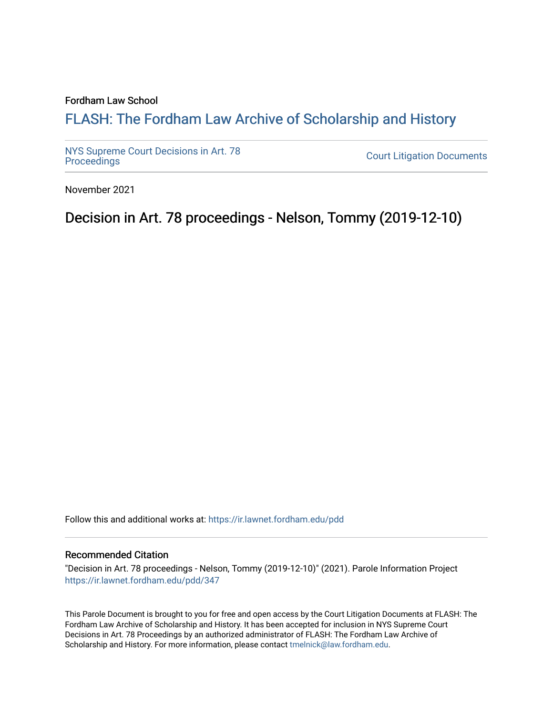#### Fordham Law School

# FLASH: The For[dham Law Archive of Scholarship and Hist](https://ir.lawnet.fordham.edu/)ory

[NYS Supreme Court Decisions in Art. 78](https://ir.lawnet.fordham.edu/pdd)

**Court Litigation Documents** 

November 2021

# Decision in Art. 78 proceedings - Nelson, Tommy (2019-12-10)

Follow this and additional works at: [https://ir.lawnet.fordham.edu/pdd](https://ir.lawnet.fordham.edu/pdd?utm_source=ir.lawnet.fordham.edu%2Fpdd%2F347&utm_medium=PDF&utm_campaign=PDFCoverPages)

#### Recommended Citation

"Decision in Art. 78 proceedings - Nelson, Tommy (2019-12-10)" (2021). Parole Information Project [https://ir.lawnet.fordham.edu/pdd/347](https://ir.lawnet.fordham.edu/pdd/347?utm_source=ir.lawnet.fordham.edu%2Fpdd%2F347&utm_medium=PDF&utm_campaign=PDFCoverPages)

This Parole Document is brought to you for free and open access by the Court Litigation Documents at FLASH: The Fordham Law Archive of Scholarship and History. It has been accepted for inclusion in NYS Supreme Court Decisions in Art. 78 Proceedings by an authorized administrator of FLASH: The Fordham Law Archive of Scholarship and History. For more information, please contact [tmelnick@law.fordham.edu](mailto:tmelnick@law.fordham.edu).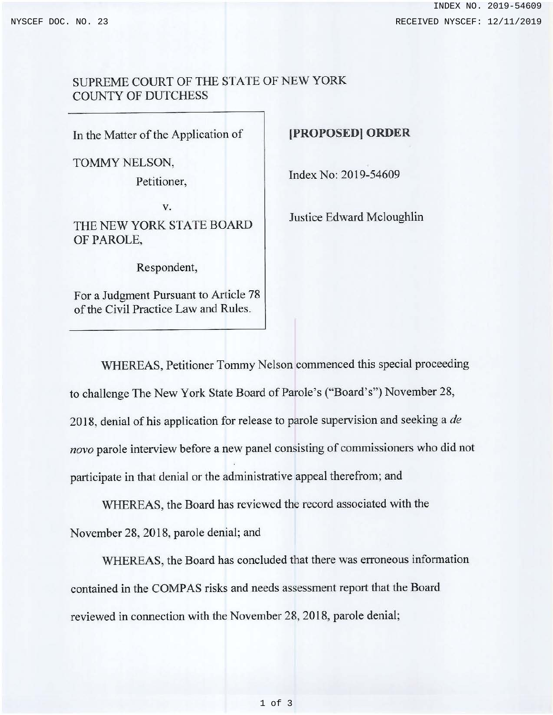### SUPREME COURT OF THE STATE OF NEW YORK COUNTY OF DUTCHESS

In the Matter of the Application of

TOMMY NELSON,

Petitioner,

v. THE NEW YORK STATE BOARD OF PAROLE,

Respondent,

For a Judgment Pursuant to Article 78 of the Civil Practice Law and Rules.

### **(PROPOSED] ORDER**

Index No: 2019-54609

Justice Edward Mcloughlin

WHEREAS, Petitioner Tommy Nelson commenced this special proceeding to challenge The New York State Board of Parole's ("Board's") November 28, 2018, denial of his application for release to parole supervision and seeking a *de*  novo parole interview before a new panel consisting of commissioners who did not participate in that denial or the administrative appeal therefrom; and

WHEREAS, the Board has reviewed the record associated with the November 28, 2018, parole denial; and

WHEREAS, the Board has concluded that there was erroneous information contained in the COMPAS risks and needs assessment report that the Board reviewed in connection with the November 28, 2018, parole denial;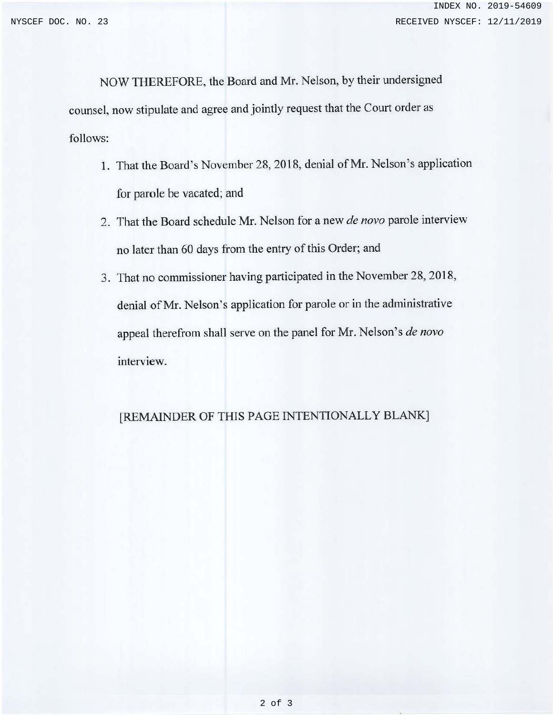NOW THEREFORE, the Board and Mr. Nelson, by their undersigned counsel, now stipulate and agree and jointly request that the Court order as follows:

- 1. That the Board's November 28, 2018, denial of **Mr.** Nelson's application for parole be vacated; and
- 2. That the Board schedule Mr. Nelson for a new *de novo* parole interview no later than 60 days from the entry of this Order; and
- 3. That no commissioner having participated in the November 28, 2018, denial of Mr. Nelson's application for parole or in the administrative appeal therefrom shall serve on the panel for Mr. Nelson's *de novo*  interview.

# [REMAINDER OF THIS PAGE INTENTIONALLY BLANK]